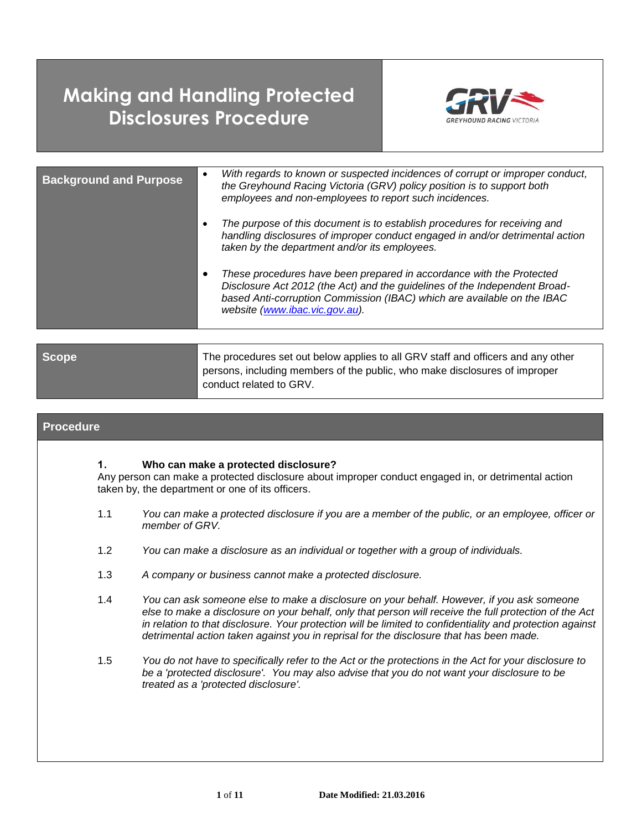# **Making and Handling Protected Disclosures Procedure**



| <b>Background and Purpose</b> | With regards to known or suspected incidences of corrupt or improper conduct,<br>the Greyhound Racing Victoria (GRV) policy position is to support both<br>employees and non-employees to report such incidences.                                               |
|-------------------------------|-----------------------------------------------------------------------------------------------------------------------------------------------------------------------------------------------------------------------------------------------------------------|
|                               | The purpose of this document is to establish procedures for receiving and<br>handling disclosures of improper conduct engaged in and/or detrimental action<br>taken by the department and/or its employees.                                                     |
|                               | These procedures have been prepared in accordance with the Protected<br>Disclosure Act 2012 (the Act) and the guidelines of the Independent Broad-<br>based Anti-corruption Commission (IBAC) which are available on the IBAC<br>website (www.ibac.vic.gov.au). |

| <b>Scope</b> | The procedures set out below applies to all GRV staff and officers and any other<br>persons, including members of the public, who make disclosures of improper |
|--------------|----------------------------------------------------------------------------------------------------------------------------------------------------------------|
|              | conduct related to GRV.                                                                                                                                        |

## **Procedure 1. Who can make a protected disclosure?** Any person can make a protected disclosure about improper conduct engaged in, or detrimental action taken by, the department or one of its officers. 1.1 *You can make a protected disclosure if you are a member of the public, or an employee, officer or member of GRV.* 1.2 *You can make a disclosure as an individual or together with a group of individuals.*  1.3 *A company or business cannot make a protected disclosure.* 1.4 *You can ask someone else to make a disclosure on your behalf. However, if you ask someone else to make a disclosure on your behalf, only that person will receive the full protection of the Act in relation to that disclosure. Your protection will be limited to confidentiality and protection against detrimental action taken against you in reprisal for the disclosure that has been made.* 1.5 *You do not have to specifically refer to the Act or the protections in the Act for your disclosure to be a 'protected disclosure'. You may also advise that you do not want your disclosure to be*

*treated as a 'protected disclosure'.*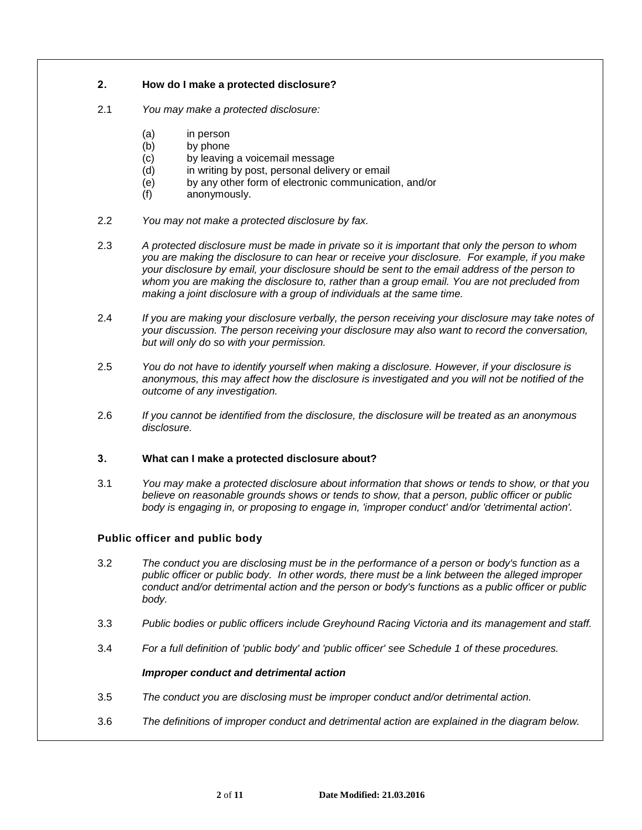## <span id="page-1-0"></span>**2. How do I make a protected disclosure?**

- 2.1 *You may make a protected disclosure:*
	- (a) in person
	- (b) by phone
	- (c) by leaving a voicemail message
	- (d) in writing by post, personal delivery or email
	- (e) by any other form of electronic communication, and/or
	- (f) anonymously.
- 2.2 *You may not make a protected disclosure by fax.*
- 2.3 *A protected disclosure must be made in private so it is important that only the person to whom you are making the disclosure to can hear or receive your disclosure. For example, if you make your disclosure by email, your disclosure should be sent to the email address of the person to whom you are making the disclosure to, rather than a group email. You are not precluded from making a joint disclosure with a group of individuals at the same time.*
- 2.4 *If you are making your disclosure verbally, the person receiving your disclosure may take notes of your discussion. The person receiving your disclosure may also want to record the conversation, but will only do so with your permission.*
- 2.5 *You do not have to identify yourself when making a disclosure. However, if your disclosure is anonymous, this may affect how the disclosure is investigated and you will not be notified of the outcome of any investigation.*
- 2.6 *If you cannot be identified from the disclosure, the disclosure will be treated as an anonymous disclosure.*

## <span id="page-1-1"></span>**3. What can I make a protected disclosure about?**

3.1 *You may make a protected disclosure about information that shows or tends to show, or that you believe on reasonable grounds shows or tends to show, that a person, public officer or public body is engaging in, or proposing to engage in, 'improper conduct' and/or 'detrimental action'.*

## **Public officer and public body**

- 3.2 *The conduct you are disclosing must be in the performance of a person or body's function as a public officer or public body. In other words, there must be a link between the alleged improper conduct and/or detrimental action and the person or body's functions as a public officer or public body.*
- 3.3 *Public bodies or public officers include Greyhound Racing Victoria and its management and staff.*
- 3.4 *For a full definition of 'public body' and 'public officer' see Schedule 1 of these procedures.*

## *Improper conduct and detrimental action*

- 3.5 *The conduct you are disclosing must be improper conduct and/or detrimental action.*
- 3.6 *The definitions of improper conduct and detrimental action are explained in the diagram below.*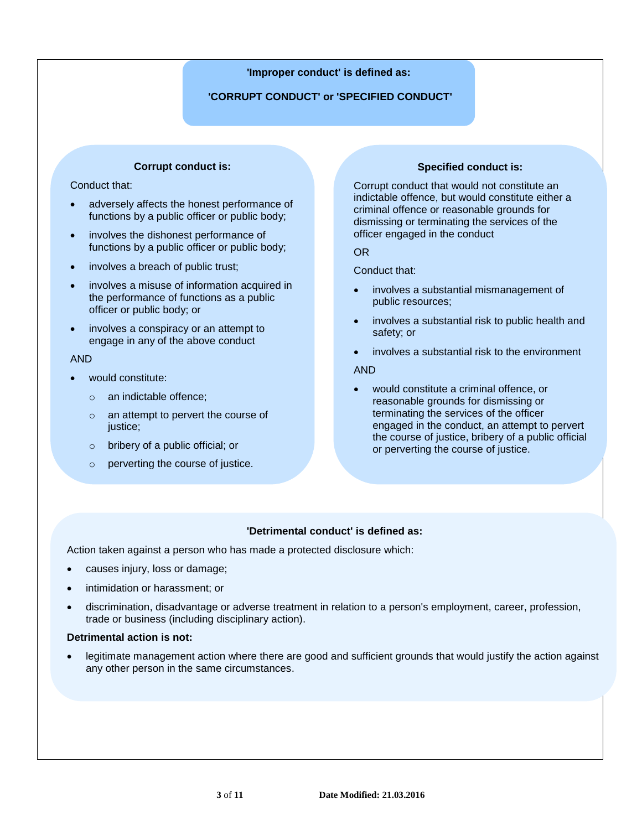## **'Improper conduct' is defined as:**

## **'CORRUPT CONDUCT' or 'SPECIFIED CONDUCT'**

## **Corrupt conduct is:**

## Conduct that:

- adversely affects the honest performance of functions by a public officer or public body;
- involves the dishonest performance of functions by a public officer or public body;
- involves a breach of public trust;
- involves a misuse of information acquired in the performance of functions as a public officer or public body; or
- involves a conspiracy or an attempt to engage in any of the above conduct

#### AND

- would constitute:
	- o an indictable offence;
	- o an attempt to pervert the course of justice;
	- o bribery of a public official; or
	- o perverting the course of justice.

## **Specified conduct is:**

Corrupt conduct that would not constitute an indictable offence, but would constitute either a criminal offence or reasonable grounds for dismissing or terminating the services of the officer engaged in the conduct

OR

Conduct that:

- involves a substantial mismanagement of public resources;
- involves a substantial risk to public health and safety; or
- involves a substantial risk to the environment

#### AND

 would constitute a criminal offence, or reasonable grounds for dismissing or terminating the services of the officer engaged in the conduct, an attempt to pervert the course of justice, bribery of a public official or perverting the course of justice.

## **'Detrimental conduct' is defined as:**

Action taken against a person who has made a protected disclosure which:

- causes injury, loss or damage;
- intimidation or harassment; or
- discrimination, disadvantage or adverse treatment in relation to a person's employment, career, profession, trade or business (including disciplinary action).

#### **Detrimental action is not:**

 legitimate management action where there are good and sufficient grounds that would justify the action against any other person in the same circumstances.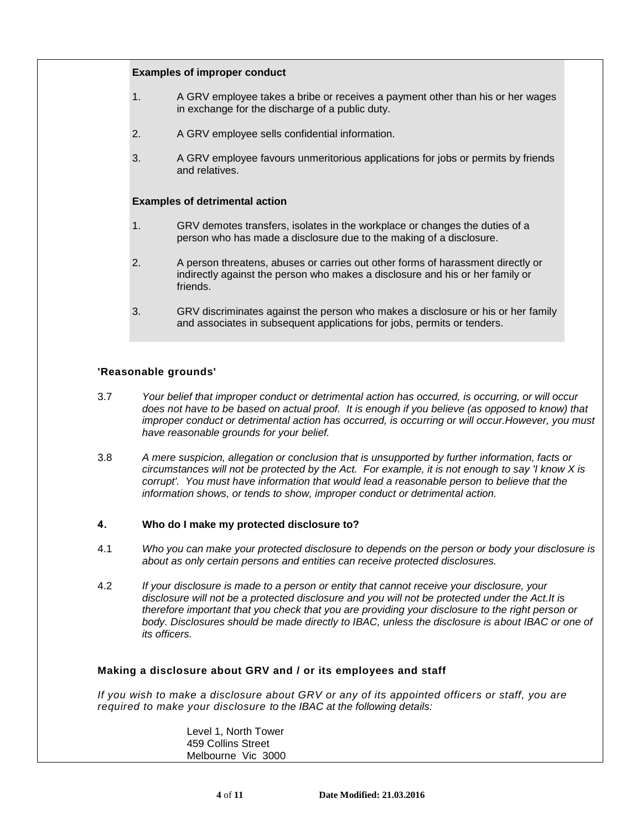#### **Examples of improper conduct**

- 1. A GRV employee takes a bribe or receives a payment other than his or her wages in exchange for the discharge of a public duty.
- 2. A GRV employee sells confidential information.
- 3. A GRV employee favours unmeritorious applications for jobs or permits by friends and relatives.

#### **Examples of detrimental action**

- 1. GRV demotes transfers, isolates in the workplace or changes the duties of a person who has made a disclosure due to the making of a disclosure.
- 2. A person threatens, abuses or carries out other forms of harassment directly or indirectly against the person who makes a disclosure and his or her family or friends.
- 3. GRV discriminates against the person who makes a disclosure or his or her family and associates in subsequent applications for jobs, permits or tenders.

#### **'Reasonable grounds'**

- 3.7 *Your belief that improper conduct or detrimental action has occurred, is occurring, or will occur does not have to be based on actual proof. It is enough if you believe (as opposed to know) that improper conduct or detrimental action has occurred, is occurring or will occur.However, you must have reasonable grounds for your belief.*
- 3.8 *A mere suspicion, allegation or conclusion that is unsupported by further information, facts or circumstances will not be protected by the Act. For example, it is not enough to say 'I know X is corrupt'. You must have information that would lead a reasonable person to believe that the information shows, or tends to show, improper conduct or detrimental action.*

#### <span id="page-3-0"></span>**4. Who do I make my protected disclosure to?**

- 4.1 *Who you can make your protected disclosure to depends on the person or body your disclosure is about as only certain persons and entities can receive protected disclosures.*
- 4.2 *If your disclosure is made to a person or entity that cannot receive your disclosure, your disclosure will not be a protected disclosure and you will not be protected under the Act.It is therefore important that you check that you are providing your disclosure to the right person or body. Disclosures should be made directly to IBAC, unless the disclosure is about IBAC or one of its officers.*

#### **Making a disclosure about GRV and / or its employees and staff**

*If you wish to make a disclosure about GRV or any of its appointed officers or staff, you are required to make your disclosure to the IBAC at the following details:*

> Level 1, North Tower 459 Collins Street Melbourne Vic 3000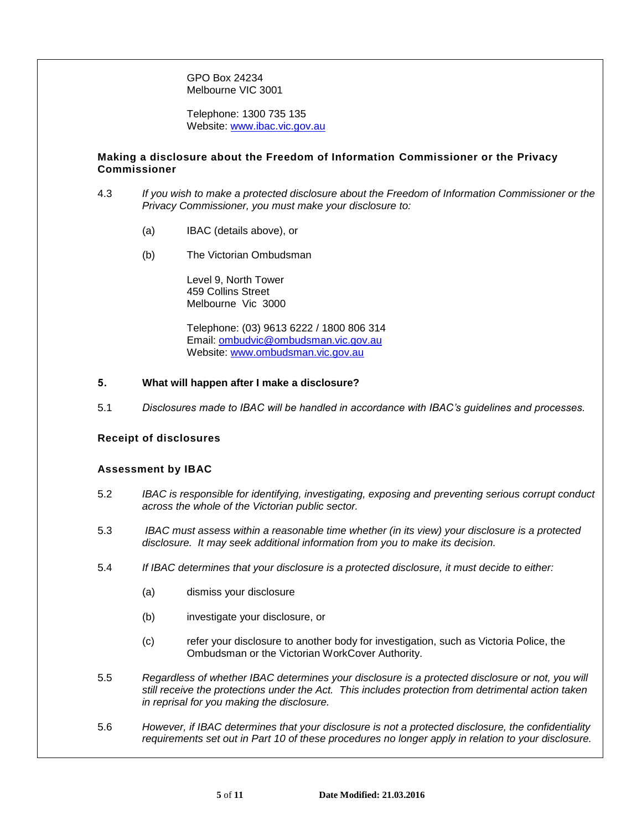GPO Box 24234 Melbourne VIC 3001

Telephone: 1300 735 135 Website: [www.ibac.vic.gov.au](http://www.ibac.vic.gov.au/)

## **Making a disclosure about the Freedom of Information Commissioner or the Privacy Commissioner**

- 4.3 *If you wish to make a protected disclosure about the Freedom of Information Commissioner or the Privacy Commissioner, you must make your disclosure to:*
	- (a) IBAC (details above), or
	- (b) The Victorian Ombudsman

Level 9, North Tower 459 Collins Street Melbourne Vic 3000

Telephone: (03) 9613 6222 / 1800 806 314 Email: [ombudvic@ombudsman.vic.gov.au](mailto:ombudvic@ombudsman.vic.gov.au) Website: [www.ombudsman.vic.gov.au](http://www.ombudsman.vic.gov.au/)

#### **5. What will happen after I make a disclosure?**

5.1 *Disclosures made to IBAC will be handled in accordance with IBAC's guidelines and processes.*

## **Receipt of disclosures**

#### **Assessment by IBAC**

- 5.2 *IBAC is responsible for identifying, investigating, exposing and preventing serious corrupt conduct across the whole of the Victorian public sector.*
- 5.3 *IBAC must assess within a reasonable time whether (in its view) your disclosure is a protected disclosure. It may seek additional information from you to make its decision.*
- 5.4 *If IBAC determines that your disclosure is a protected disclosure, it must decide to either:*
	- (a) dismiss your disclosure
	- (b) investigate your disclosure, or
	- (c) refer your disclosure to another body for investigation, such as Victoria Police, the Ombudsman or the Victorian WorkCover Authority.
- 5.5 *Regardless of whether IBAC determines your disclosure is a protected disclosure or not, you will still receive the protections under the Act. This includes protection from detrimental action taken in reprisal for you making the disclosure.*
- 5.6 *However, if IBAC determines that your disclosure is not a protected disclosure, the confidentiality requirements set out in Part [10](#page-7-0) of these procedures no longer apply in relation to your disclosure.*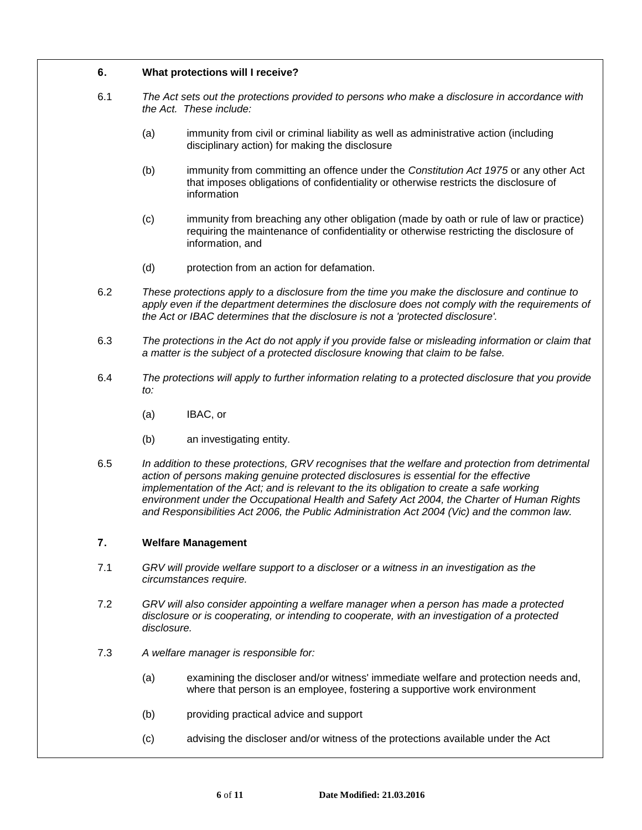## <span id="page-5-0"></span>**6. What protections will I receive?**

- 6.1 *The Act sets out the protections provided to persons who make a disclosure in accordance with the Act. These include:*
	- (a) immunity from civil or criminal liability as well as administrative action (including disciplinary action) for making the disclosure
	- (b) immunity from committing an offence under the *Constitution Act 1975* or any other Act that imposes obligations of confidentiality or otherwise restricts the disclosure of information
	- (c) immunity from breaching any other obligation (made by oath or rule of law or practice) requiring the maintenance of confidentiality or otherwise restricting the disclosure of information, and
	- (d) protection from an action for defamation.
- 6.2 *These protections apply to a disclosure from the time you make the disclosure and continue to*  apply even if the department determines the disclosure does not comply with the requirements of *the Act or IBAC determines that the disclosure is not a 'protected disclosure'.*
- 6.3 *The protections in the Act do not apply if you provide false or misleading information or claim that a matter is the subject of a protected disclosure knowing that claim to be false.*
- 6.4 *The protections will apply to further information relating to a protected disclosure that you provide to:*
	- (a) IBAC, or
	- (b) an investigating entity.
- 6.5 *In addition to these protections, GRV recognises that the welfare and protection from detrimental action of persons making genuine protected disclosures is essential for the effective implementation of the Act; and is relevant to the its obligation to create a safe working environment under the Occupational Health and Safety Act 2004, the Charter of Human Rights and Responsibilities Act 2006, the Public Administration Act 2004 (Vic) and the common law.*

## **7. Welfare Management**

- 7.1 *GRV will provide welfare support to a discloser or a witness in an investigation as the circumstances require.*
- 7.2 *GRV will also consider appointing a welfare manager when a person has made a protected disclosure or is cooperating, or intending to cooperate, with an investigation of a protected disclosure.*
- 7.3 *A welfare manager is responsible for:*
	- (a) examining the discloser and/or witness' immediate welfare and protection needs and, where that person is an employee, fostering a supportive work environment
	- (b) providing practical advice and support
	- (c) advising the discloser and/or witness of the protections available under the Act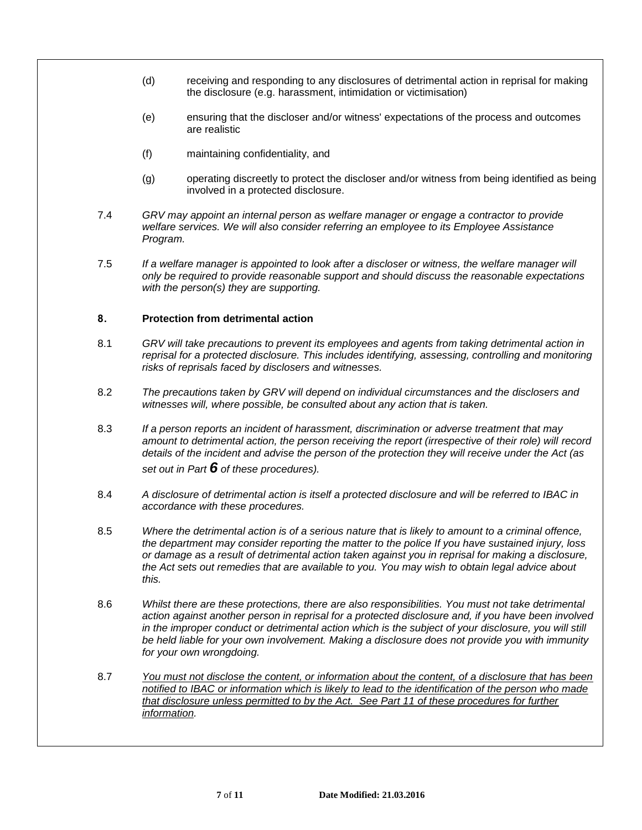- (d) receiving and responding to any disclosures of detrimental action in reprisal for making the disclosure (e.g. harassment, intimidation or victimisation)
- (e) ensuring that the discloser and/or witness' expectations of the process and outcomes are realistic
- (f) maintaining confidentiality, and
- (g) operating discreetly to protect the discloser and/or witness from being identified as being involved in a protected disclosure.
- 7.4 *GRV may appoint an internal person as welfare manager or engage a contractor to provide welfare services. We will also consider referring an employee to its Employee Assistance Program.*
- 7.5 *If a welfare manager is appointed to look after a discloser or witness, the welfare manager will only be required to provide reasonable support and should discuss the reasonable expectations with the person(s) they are supporting.*

## **8. Protection from detrimental action**

- 8.1 *GRV will take precautions to prevent its employees and agents from taking detrimental action in reprisal for a protected disclosure. This includes identifying, assessing, controlling and monitoring risks of reprisals faced by disclosers and witnesses.*
- 8.2 *The precautions taken by GRV will depend on individual circumstances and the disclosers and witnesses will, where possible, be consulted about any action that is taken.*
- 8.3 *If a person reports an incident of harassment, discrimination or adverse treatment that may*  amount to detrimental action, the person receiving the report (irrespective of their role) will record *details of the incident and advise the person of the protection they will receive under the Act (as set out in Part [6](#page-5-0) of these procedures).*
- 8.4 *A disclosure of detrimental action is itself a protected disclosure and will be referred to IBAC in accordance with these procedures.*
- 8.5 *Where the detrimental action is of a serious nature that is likely to amount to a criminal offence, the department may consider reporting the matter to the police If you have sustained injury, loss or damage as a result of detrimental action taken against you in reprisal for making a disclosure, the Act sets out remedies that are available to you. You may wish to obtain legal advice about this.*
- 8.6 *Whilst there are these protections, there are also responsibilities. You must not take detrimental action against another person in reprisal for a protected disclosure and, if you have been involved*  in the improper conduct or detrimental action which is the subject of your disclosure, you will still *be held liable for your own involvement. Making a disclosure does not provide you with immunity for your own wrongdoing.*
- 8.7 *You must not disclose the content, or information about the content, of a disclosure that has been notified to IBAC or information which is likely to lead to the identification of the person who made that disclosure unless permitted to by the Act. See Part 11 of these procedures for further information.*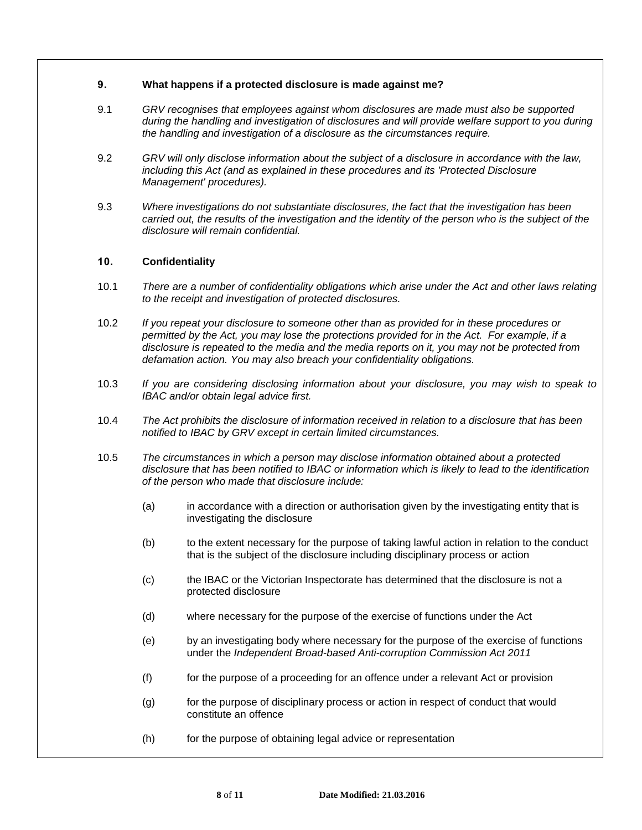## **9. What happens if a protected disclosure is made against me?**

- 9.1 *GRV recognises that employees against whom disclosures are made must also be supported during the handling and investigation of disclosures and will provide welfare support to you during the handling and investigation of a disclosure as the circumstances require.*
- 9.2 *GRV will only disclose information about the subject of a disclosure in accordance with the law, including this Act (and as explained in these procedures and its 'Protected Disclosure Management' procedures).*
- 9.3 *Where investigations do not substantiate disclosures, the fact that the investigation has been carried out, the results of the investigation and the identity of the person who is the subject of the disclosure will remain confidential.*

## <span id="page-7-0"></span>**10. Confidentiality**

- 10.1 *There are a number of confidentiality obligations which arise under the Act and other laws relating to the receipt and investigation of protected disclosures.*
- 10.2 *If you repeat your disclosure to someone other than as provided for in these procedures or permitted by the Act, you may lose the protections provided for in the Act. For example, if a disclosure is repeated to the media and the media reports on it, you may not be protected from defamation action. You may also breach your confidentiality obligations.*
- 10.3 *If you are considering disclosing information about your disclosure, you may wish to speak to IBAC and/or obtain legal advice first.*
- 10.4 *The Act prohibits the disclosure of information received in relation to a disclosure that has been notified to IBAC by GRV except in certain limited circumstances.*
- 10.5 *The circumstances in which a person may disclose information obtained about a protected disclosure that has been notified to IBAC or information which is likely to lead to the identification of the person who made that disclosure include:*
	- (a) in accordance with a direction or authorisation given by the investigating entity that is investigating the disclosure
	- (b) to the extent necessary for the purpose of taking lawful action in relation to the conduct that is the subject of the disclosure including disciplinary process or action
	- (c) the IBAC or the Victorian Inspectorate has determined that the disclosure is not a protected disclosure
	- (d) where necessary for the purpose of the exercise of functions under the Act
	- (e) by an investigating body where necessary for the purpose of the exercise of functions under the *Independent Broad-based Anti-corruption Commission Act 2011*
	- (f) for the purpose of a proceeding for an offence under a relevant Act or provision
	- (g) for the purpose of disciplinary process or action in respect of conduct that would constitute an offence
	- (h) for the purpose of obtaining legal advice or representation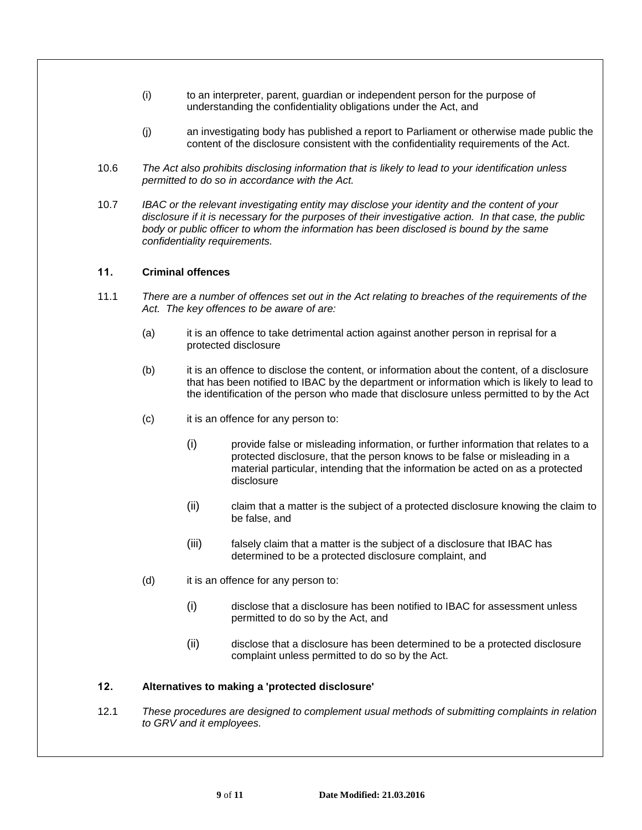- (i) to an interpreter, parent, guardian or independent person for the purpose of understanding the confidentiality obligations under the Act, and
- (j) an investigating body has published a report to Parliament or otherwise made public the content of the disclosure consistent with the confidentiality requirements of the Act.
- 10.6 *The Act also prohibits disclosing information that is likely to lead to your identification unless permitted to do so in accordance with the Act.*
- 10.7 *IBAC or the relevant investigating entity may disclose your identity and the content of your disclosure if it is necessary for the purposes of their investigative action. In that case, the public body or public officer to whom the information has been disclosed is bound by the same confidentiality requirements.*

## **11. Criminal offences**

- 11.1 *There are a number of offences set out in the Act relating to breaches of the requirements of the Act. The key offences to be aware of are:*
	- (a) it is an offence to take detrimental action against another person in reprisal for a protected disclosure
	- (b) it is an offence to disclose the content, or information about the content, of a disclosure that has been notified to IBAC by the department or information which is likely to lead to the identification of the person who made that disclosure unless permitted to by the Act
	- (c) it is an offence for any person to:
		- (i) provide false or misleading information, or further information that relates to a protected disclosure, that the person knows to be false or misleading in a material particular, intending that the information be acted on as a protected disclosure
		- (ii) claim that a matter is the subject of a protected disclosure knowing the claim to be false, and
		- (iii) falsely claim that a matter is the subject of a disclosure that IBAC has determined to be a protected disclosure complaint, and
	- (d) it is an offence for any person to:
		- (i) disclose that a disclosure has been notified to IBAC for assessment unless permitted to do so by the Act, and
		- (ii) disclose that a disclosure has been determined to be a protected disclosure complaint unless permitted to do so by the Act.

#### **12. Alternatives to making a 'protected disclosure'**

12.1 *These procedures are designed to complement usual methods of submitting complaints in relation to GRV and it employees.*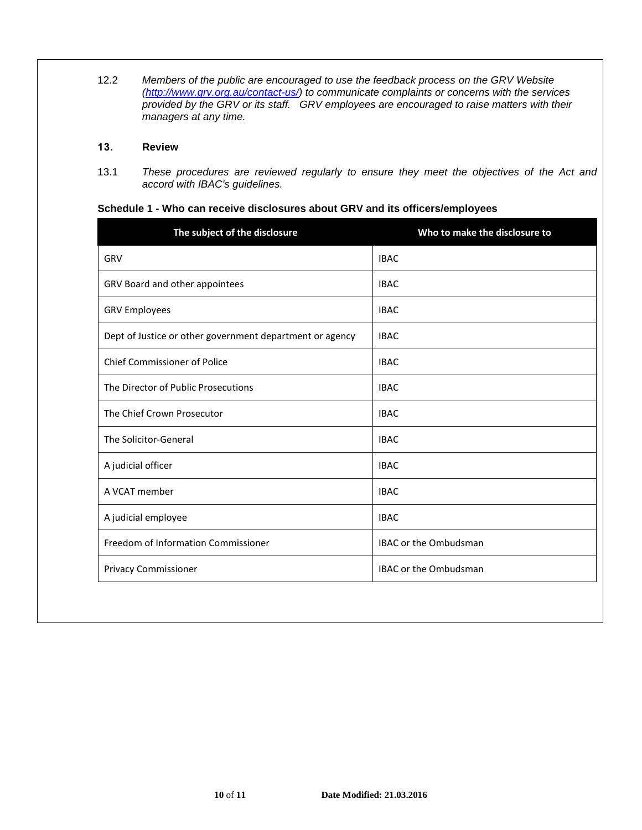12.2 *Members of the public are encouraged to use the feedback process on the GRV Website [\(http://www.grv.org.au/contact-us/\)](http://www.grv.org.au/contact-us/) to communicate complaints or concerns with the services provided by the GRV or its staff. GRV employees are encouraged to raise matters with their managers at any time.*

## **13. Review**

13.1 *These procedures are reviewed regularly to ensure they meet the objectives of the Act and accord with IBAC's guidelines.*

**Schedule 1 - Who can receive disclosures about GRV and its officers/employees**

| The subject of the disclosure                            | Who to make the disclosure to |
|----------------------------------------------------------|-------------------------------|
| GRV                                                      | <b>IBAC</b>                   |
| GRV Board and other appointees                           | <b>IBAC</b>                   |
| <b>GRV Employees</b>                                     | <b>IBAC</b>                   |
| Dept of Justice or other government department or agency | <b>IBAC</b>                   |
| <b>Chief Commissioner of Police</b>                      | <b>IBAC</b>                   |
| The Director of Public Prosecutions                      | <b>IBAC</b>                   |
| The Chief Crown Prosecutor                               | <b>IBAC</b>                   |
| The Solicitor-General                                    | <b>IBAC</b>                   |
| A judicial officer                                       | <b>IBAC</b>                   |
| A VCAT member                                            | <b>IBAC</b>                   |
| A judicial employee                                      | <b>IBAC</b>                   |
| Freedom of Information Commissioner                      | <b>IBAC or the Ombudsman</b>  |
| Privacy Commissioner                                     | <b>IBAC or the Ombudsman</b>  |